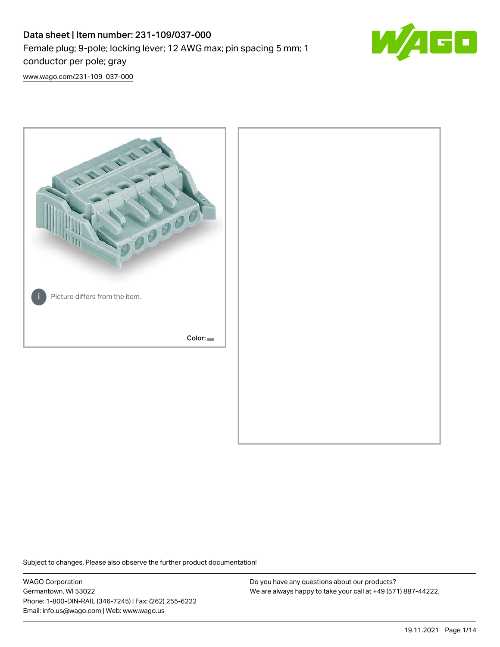# Data sheet | Item number: 231-109/037-000 Female plug; 9-pole; locking lever; 12 AWG max; pin spacing 5 mm; 1 conductor per pole; gray



[www.wago.com/231-109\\_037-000](http://www.wago.com/231-109_037-000)



Subject to changes. Please also observe the further product documentation!

WAGO Corporation Germantown, WI 53022 Phone: 1-800-DIN-RAIL (346-7245) | Fax: (262) 255-6222 Email: info.us@wago.com | Web: www.wago.us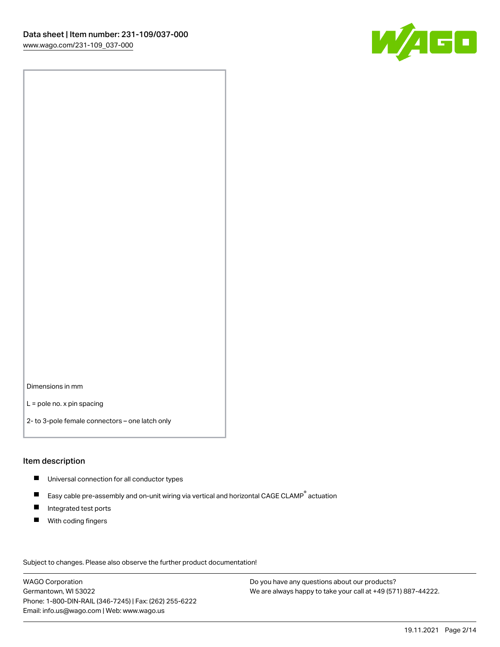

Dimensions in mm

L = pole no. x pin spacing

2- to 3-pole female connectors – one latch only

#### Item description

- **Universal connection for all conductor types**
- Easy cable pre-assembly and on-unit wiring via vertical and horizontal CAGE CLAMP<sup>®</sup> actuation  $\blacksquare$
- $\blacksquare$ Integrated test ports
- $\blacksquare$ With coding fingers

Subject to changes. Please also observe the further product documentation! Data

WAGO Corporation Germantown, WI 53022 Phone: 1-800-DIN-RAIL (346-7245) | Fax: (262) 255-6222 Email: info.us@wago.com | Web: www.wago.us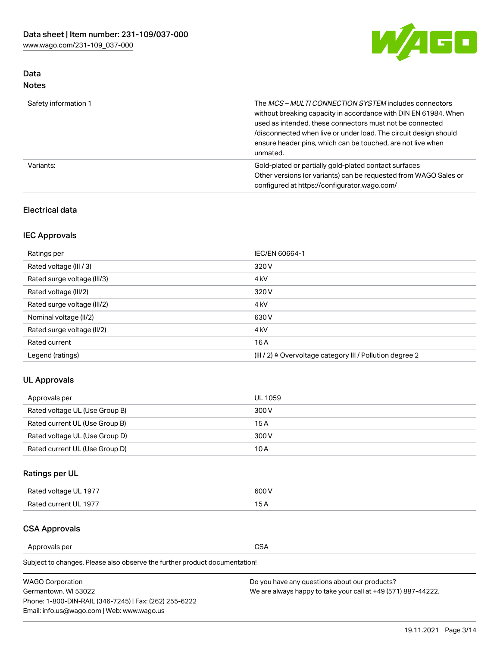

# Data Notes

| Safety information 1 | The MCS-MULTI CONNECTION SYSTEM includes connectors<br>without breaking capacity in accordance with DIN EN 61984. When<br>used as intended, these connectors must not be connected<br>/disconnected when live or under load. The circuit design should<br>ensure header pins, which can be touched, are not live when<br>unmated. |
|----------------------|-----------------------------------------------------------------------------------------------------------------------------------------------------------------------------------------------------------------------------------------------------------------------------------------------------------------------------------|
| Variants:            | Gold-plated or partially gold-plated contact surfaces<br>Other versions (or variants) can be requested from WAGO Sales or<br>configured at https://configurator.wago.com/                                                                                                                                                         |

# Electrical data

# IEC Approvals

| Ratings per                 | IEC/EN 60664-1                                                        |
|-----------------------------|-----------------------------------------------------------------------|
| Rated voltage (III / 3)     | 320 V                                                                 |
| Rated surge voltage (III/3) | 4 <sub>k</sub> V                                                      |
| Rated voltage (III/2)       | 320 V                                                                 |
| Rated surge voltage (III/2) | 4 <sub>k</sub> V                                                      |
| Nominal voltage (II/2)      | 630 V                                                                 |
| Rated surge voltage (II/2)  | 4 <sub>k</sub> V                                                      |
| Rated current               | 16 A                                                                  |
| Legend (ratings)            | $(III / 2)$ $\triangle$ Overvoltage category III / Pollution degree 2 |

# UL Approvals

| Approvals per                  | UL 1059 |
|--------------------------------|---------|
| Rated voltage UL (Use Group B) | 300 V   |
| Rated current UL (Use Group B) | 15 A    |
| Rated voltage UL (Use Group D) | 300 V   |
| Rated current UL (Use Group D) | 10 A    |

# Ratings per UL

| Rated voltage UL 1977 | 600 V         |
|-----------------------|---------------|
| Rated current UL 1977 | $\sim$ $\sim$ |

## CSA Approvals

Approvals per CSA

Subject to changes. Please also observe the further product documentation!

| <b>WAGO Corporation</b>                                | Do you have any questions about our products?                 |
|--------------------------------------------------------|---------------------------------------------------------------|
| Germantown, WI 53022                                   | We are always happy to take your call at +49 (571) 887-44222. |
| Phone: 1-800-DIN-RAIL (346-7245)   Fax: (262) 255-6222 |                                                               |
| Email: info.us@wago.com   Web: www.wago.us             |                                                               |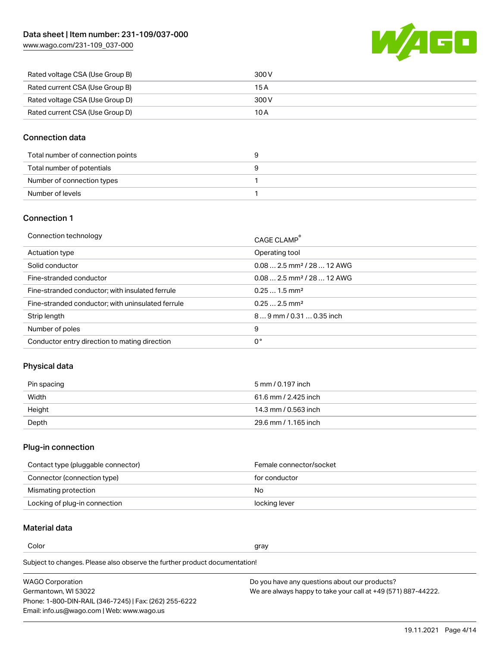[www.wago.com/231-109\\_037-000](http://www.wago.com/231-109_037-000)



| Rated voltage CSA (Use Group B) | 300 V |
|---------------------------------|-------|
| Rated current CSA (Use Group B) | 15 A  |
| Rated voltage CSA (Use Group D) | 300 V |
| Rated current CSA (Use Group D) | 10 A  |

# Connection data

| Total number of connection points |  |
|-----------------------------------|--|
| Total number of potentials        |  |
| Number of connection types        |  |
| Number of levels                  |  |

## Connection 1

| Connection technology                             | CAGE CLAMP <sup>®</sup>                 |
|---------------------------------------------------|-----------------------------------------|
| Actuation type                                    | Operating tool                          |
| Solid conductor                                   | $0.08$ 2.5 mm <sup>2</sup> / 28  12 AWG |
| Fine-stranded conductor                           | $0.082.5$ mm <sup>2</sup> / 28  12 AWG  |
| Fine-stranded conductor; with insulated ferrule   | $0.251.5$ mm <sup>2</sup>               |
| Fine-stranded conductor; with uninsulated ferrule | $0.252.5$ mm <sup>2</sup>               |
| Strip length                                      | 89 mm / 0.31  0.35 inch                 |
| Number of poles                                   | 9                                       |
| Conductor entry direction to mating direction     | 0°                                      |

# Physical data

| Pin spacing | 5 mm / 0.197 inch    |
|-------------|----------------------|
| Width       | 61.6 mm / 2.425 inch |
| Height      | 14.3 mm / 0.563 inch |
| Depth       | 29.6 mm / 1.165 inch |

## Plug-in connection

| Contact type (pluggable connector) | Female connector/socket |
|------------------------------------|-------------------------|
| Connector (connection type)        | for conductor           |
| Mismating protection               | No.                     |
| Locking of plug-in connection      | locking lever           |

# Material data

Color and the color of the color of the color of the color of the color of the color of the color of the color

Subject to changes. Please also observe the further product documentation! Material group I

| <b>WAGO Corporation</b>                                | Do you have any questions about our products?                 |
|--------------------------------------------------------|---------------------------------------------------------------|
| Germantown, WI 53022                                   | We are always happy to take your call at +49 (571) 887-44222. |
| Phone: 1-800-DIN-RAIL (346-7245)   Fax: (262) 255-6222 |                                                               |
| Email: info.us@wago.com   Web: www.wago.us             |                                                               |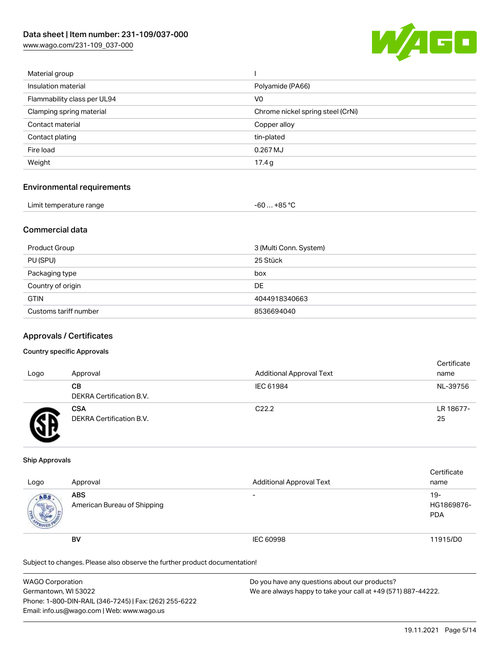[www.wago.com/231-109\\_037-000](http://www.wago.com/231-109_037-000)



| Material group              |                                   |
|-----------------------------|-----------------------------------|
| Insulation material         | Polyamide (PA66)                  |
| Flammability class per UL94 | V <sub>0</sub>                    |
| Clamping spring material    | Chrome nickel spring steel (CrNi) |
| Contact material            | Copper alloy                      |
| Contact plating             | tin-plated                        |
| Fire load                   | 0.267 MJ                          |
| Weight                      | 17.4g                             |
|                             |                                   |

#### Environmental requirements

| Limit temperature range | $-60+85 °C$ |  |
|-------------------------|-------------|--|
|-------------------------|-------------|--|

# Commercial data

| Product Group         | 3 (Multi Conn. System) |
|-----------------------|------------------------|
| PU (SPU)              | 25 Stück               |
| Packaging type        | box                    |
| Country of origin     | DE                     |
| <b>GTIN</b>           | 4044918340663          |
| Customs tariff number | 8536694040             |

#### Approvals / Certificates

#### Country specific Approvals

| Logo | Approval                               | <b>Additional Approval Text</b> | Certificate<br>name |
|------|----------------------------------------|---------------------------------|---------------------|
|      | CВ<br>DEKRA Certification B.V.         | IEC 61984                       | NL-39756            |
|      | <b>CSA</b><br>DEKRA Certification B.V. | C <sub>22.2</sub>               | LR 18677-<br>25     |

#### Ship Approvals

| Logo | Approval                                  | <b>Additional Approval Text</b> | Certificate<br>name                |
|------|-------------------------------------------|---------------------------------|------------------------------------|
| ABS  | <b>ABS</b><br>American Bureau of Shipping | $\overline{\phantom{0}}$        | $19 -$<br>HG1869876-<br><b>PDA</b> |
|      | <b>BV</b>                                 | IEC 60998                       | 11915/D0                           |

Subject to changes. Please also observe the further product documentation!

| <b>WAGO Corporation</b>                                | Do you have any questions about our products?                 |
|--------------------------------------------------------|---------------------------------------------------------------|
| Germantown, WI 53022                                   | We are always happy to take your call at +49 (571) 887-44222. |
| Phone: 1-800-DIN-RAIL (346-7245)   Fax: (262) 255-6222 |                                                               |
| Email: info.us@wago.com   Web: www.wago.us             |                                                               |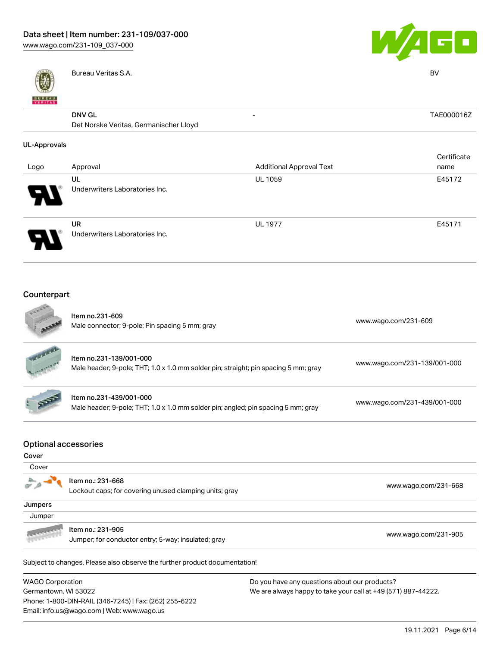

Phone: 1-800-DIN-RAIL (346-7245) | Fax: (262) 255-6222

Email: info.us@wago.com | Web: www.wago.us



|                     | Bureau Veritas S.A.                    |                                 | <b>BV</b>   |
|---------------------|----------------------------------------|---------------------------------|-------------|
| <b>BUREAU</b>       |                                        |                                 |             |
|                     | <b>DNV GL</b>                          | ۰                               | TAE000016Z  |
|                     | Det Norske Veritas, Germanischer Lloyd |                                 |             |
| <b>UL-Approvals</b> |                                        |                                 |             |
|                     |                                        |                                 | Certificate |
| Logo                | Approval                               | <b>Additional Approval Text</b> | name        |
|                     | UL                                     | UL 1059                         | E45172      |
|                     | Underwriters Laboratories Inc.         |                                 |             |
|                     | <b>UR</b>                              | <b>UL 1977</b>                  | E45171      |
|                     | Underwriters Laboratories Inc.         |                                 |             |
|                     |                                        |                                 |             |

#### Counterpart  $\sim$

|                                      | Item no.231-609<br>Male connector; 9-pole; Pin spacing 5 mm; gray                                              | www.wago.com/231-609                                          |  |
|--------------------------------------|----------------------------------------------------------------------------------------------------------------|---------------------------------------------------------------|--|
|                                      | Item no.231-139/001-000<br>Male header; 9-pole; THT; 1.0 x 1.0 mm solder pin; straight; pin spacing 5 mm; gray | www.wago.com/231-139/001-000                                  |  |
|                                      | Item no.231-439/001-000<br>Male header; 9-pole; THT; 1.0 x 1.0 mm solder pin; angled; pin spacing 5 mm; gray   | www.wago.com/231-439/001-000                                  |  |
| <b>Optional accessories</b><br>Cover |                                                                                                                |                                                               |  |
| Cover                                |                                                                                                                |                                                               |  |
|                                      | Item no.: 231-668<br>Lockout caps; for covering unused clamping units; gray                                    | www.wago.com/231-668                                          |  |
| Jumpers                              |                                                                                                                |                                                               |  |
| Jumper                               |                                                                                                                |                                                               |  |
|                                      | Item no.: 231-905<br>Jumper; for conductor entry; 5-way; insulated; gray                                       | www.wago.com/231-905                                          |  |
|                                      | Subject to changes. Please also observe the further product documentation!                                     |                                                               |  |
| <b>WAGO Corporation</b>              |                                                                                                                | Do you have any questions about our products?                 |  |
| Germantown, WI 53022                 |                                                                                                                | We are always happy to take your call at +49 (571) 887-44222. |  |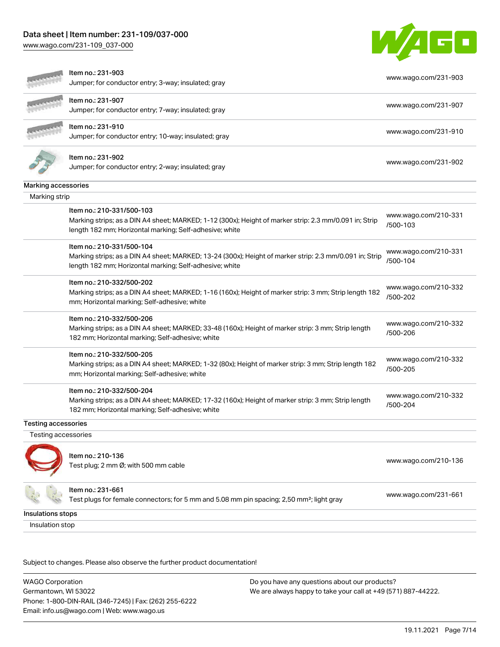# Data sheet | Item number: 231-109/037-000

[www.wago.com/231-109\\_037-000](http://www.wago.com/231-109_037-000)



| Item no.: 231-907<br>Jumper; for conductor entry; 7-way; insulated; gray                                                                                                                                    | www.wago.com/231-907 |
|-------------------------------------------------------------------------------------------------------------------------------------------------------------------------------------------------------------|----------------------|
| ltem no.: 231-910<br>Jumper; for conductor entry; 10-way; insulated; gray                                                                                                                                   | www.wago.com/231-910 |
| Item no.: 231-902<br>Jumper; for conductor entry; 2-way; insulated; gray                                                                                                                                    | www.wago.com/231-902 |
| Marking accessories                                                                                                                                                                                         |                      |
| Marking strip                                                                                                                                                                                               |                      |
| Item no.: 210-331/500-103<br>Marking strips; as a DIN A4 sheet; MARKED; 1-12 (300x); Height of marker strip: 2.3 mm/0.091 in; Strip<br>/500-103<br>length 182 mm; Horizontal marking; Self-adhesive; white  | www.wago.com/210-331 |
| Item no.: 210-331/500-104<br>Marking strips; as a DIN A4 sheet; MARKED; 13-24 (300x); Height of marker strip: 2.3 mm/0.091 in; Strip<br>/500-104<br>length 182 mm; Horizontal marking; Self-adhesive; white | www.wago.com/210-331 |
| Item no.: 210-332/500-202<br>Marking strips; as a DIN A4 sheet; MARKED; 1-16 (160x); Height of marker strip: 3 mm; Strip length 182<br>/500-202<br>mm; Horizontal marking; Self-adhesive; white             | www.wago.com/210-332 |
| Item no.: 210-332/500-206<br>Marking strips; as a DIN A4 sheet; MARKED; 33-48 (160x); Height of marker strip: 3 mm; Strip length<br>/500-206<br>182 mm; Horizontal marking; Self-adhesive; white            | www.wago.com/210-332 |
| Item no.: 210-332/500-205<br>Marking strips; as a DIN A4 sheet; MARKED; 1-32 (80x); Height of marker strip: 3 mm; Strip length 182<br>/500-205<br>mm; Horizontal marking; Self-adhesive; white              | www.wago.com/210-332 |
| Item no.: 210-332/500-204<br>Marking strips; as a DIN A4 sheet; MARKED; 17-32 (160x); Height of marker strip: 3 mm; Strip length<br>/500-204<br>182 mm; Horizontal marking; Self-adhesive; white            | www.wago.com/210-332 |
| <b>Testing accessories</b>                                                                                                                                                                                  |                      |
| Testing accessories                                                                                                                                                                                         |                      |
| Item no.: 210-136<br>Test plug; 2 mm Ø; with 500 mm cable                                                                                                                                                   | www.wago.com/210-136 |
| Item no.: 231-661<br>Test plugs for female connectors; for 5 mm and 5.08 mm pin spacing; 2,50 mm <sup>2</sup> ; light gray                                                                                  | www.wago.com/231-661 |
| Insulations stops                                                                                                                                                                                           |                      |
| Insulation stop                                                                                                                                                                                             |                      |

Subject to changes. Please also observe the further product documentation!

WAGO Corporation Germantown, WI 53022 Phone: 1-800-DIN-RAIL (346-7245) | Fax: (262) 255-6222 Email: info.us@wago.com | Web: www.wago.us Do you have any questions about our products? We are always happy to take your call at +49 (571) 887-44222.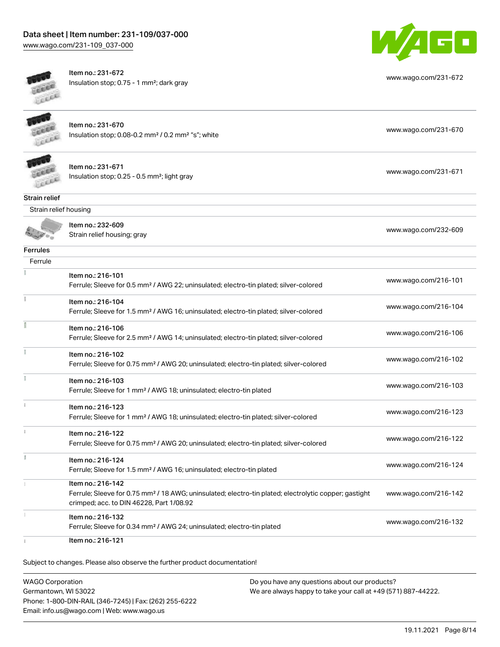# Data sheet | Item number: 231-109/037-000

[www.wago.com/231-109\\_037-000](http://www.wago.com/231-109_037-000)



Item no.: 231-672



| Lecce                 | Insulation stop; 0.75 - 1 mm <sup>2</sup> ; dark gray                                                                                                                              | www.wago.com/231-672 |
|-----------------------|------------------------------------------------------------------------------------------------------------------------------------------------------------------------------------|----------------------|
|                       | Item no.: 231-670<br>Insulation stop; 0.08-0.2 mm <sup>2</sup> / 0.2 mm <sup>2</sup> "s"; white                                                                                    | www.wago.com/231-670 |
|                       | Item no.: 231-671<br>Insulation stop; 0.25 - 0.5 mm <sup>2</sup> ; light gray                                                                                                      | www.wago.com/231-671 |
| <b>Strain relief</b>  |                                                                                                                                                                                    |                      |
| Strain relief housing |                                                                                                                                                                                    |                      |
|                       | Item no.: 232-609<br>Strain relief housing; gray                                                                                                                                   | www.wago.com/232-609 |
| <b>Ferrules</b>       |                                                                                                                                                                                    |                      |
| Ferrule               |                                                                                                                                                                                    |                      |
|                       | Item no.: 216-101<br>Ferrule; Sleeve for 0.5 mm <sup>2</sup> / AWG 22; uninsulated; electro-tin plated; silver-colored                                                             | www.wago.com/216-101 |
| Ť.                    | Item no.: 216-104<br>Ferrule; Sleeve for 1.5 mm <sup>2</sup> / AWG 16; uninsulated; electro-tin plated; silver-colored                                                             | www.wago.com/216-104 |
|                       | Item no.: 216-106<br>Ferrule; Sleeve for 2.5 mm <sup>2</sup> / AWG 14; uninsulated; electro-tin plated; silver-colored                                                             | www.wago.com/216-106 |
|                       | Item no.: 216-102<br>Ferrule; Sleeve for 0.75 mm <sup>2</sup> / AWG 20; uninsulated; electro-tin plated; silver-colored                                                            | www.wago.com/216-102 |
|                       | Item no.: 216-103<br>Ferrule; Sleeve for 1 mm <sup>2</sup> / AWG 18; uninsulated; electro-tin plated                                                                               | www.wago.com/216-103 |
|                       | Item no.: 216-123<br>Ferrule; Sleeve for 1 mm <sup>2</sup> / AWG 18; uninsulated; electro-tin plated; silver-colored                                                               | www.wago.com/216-123 |
|                       | Item no.: 216-122<br>Ferrule; Sleeve for 0.75 mm <sup>2</sup> / AWG 20; uninsulated; electro-tin plated; silver-colored                                                            | www.wago.com/216-122 |
| ă.                    | Item no.: 216-124<br>Ferrule; Sleeve for 1.5 mm <sup>2</sup> / AWG 16; uninsulated; electro-tin plated                                                                             | www.wago.com/216-124 |
|                       | Item no.: 216-142<br>Ferrule; Sleeve for 0.75 mm <sup>2</sup> / 18 AWG; uninsulated; electro-tin plated; electrolytic copper; gastight<br>crimped; acc. to DIN 46228, Part 1/08.92 | www.wago.com/216-142 |
|                       | Item no.: 216-132<br>Ferrule; Sleeve for 0.34 mm <sup>2</sup> / AWG 24; uninsulated; electro-tin plated                                                                            | www.wago.com/216-132 |
|                       | Item no.: 216-121                                                                                                                                                                  |                      |

Subject to changes. Please also observe the further product documentation!

WAGO Corporation Germantown, WI 53022 Phone: 1-800-DIN-RAIL (346-7245) | Fax: (262) 255-6222 Email: info.us@wago.com | Web: www.wago.us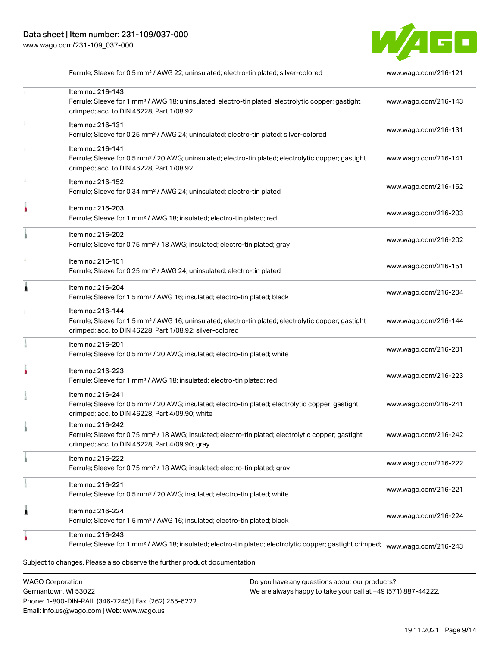

|   | Ferrule; Sleeve for 0.5 mm <sup>2</sup> / AWG 22; uninsulated; electro-tin plated; silver-colored                                                                                                 | www.wago.com/216-121 |
|---|---------------------------------------------------------------------------------------------------------------------------------------------------------------------------------------------------|----------------------|
|   | Item no.: 216-143<br>Ferrule; Sleeve for 1 mm <sup>2</sup> / AWG 18; uninsulated; electro-tin plated; electrolytic copper; gastight<br>crimped; acc. to DIN 46228, Part 1/08.92                   | www.wago.com/216-143 |
|   | Item no.: 216-131<br>Ferrule; Sleeve for 0.25 mm <sup>2</sup> / AWG 24; uninsulated; electro-tin plated; silver-colored                                                                           | www.wago.com/216-131 |
|   | Item no.: 216-141<br>Ferrule; Sleeve for 0.5 mm <sup>2</sup> / 20 AWG; uninsulated; electro-tin plated; electrolytic copper; gastight<br>crimped; acc. to DIN 46228, Part 1/08.92                 | www.wago.com/216-141 |
|   | Item no.: 216-152<br>Ferrule; Sleeve for 0.34 mm <sup>2</sup> / AWG 24; uninsulated; electro-tin plated                                                                                           | www.wago.com/216-152 |
|   | Item no.: 216-203<br>Ferrule; Sleeve for 1 mm <sup>2</sup> / AWG 18; insulated; electro-tin plated; red                                                                                           | www.wago.com/216-203 |
|   | Item no.: 216-202<br>Ferrule; Sleeve for 0.75 mm <sup>2</sup> / 18 AWG; insulated; electro-tin plated; gray                                                                                       | www.wago.com/216-202 |
|   | Item no.: 216-151<br>Ferrule; Sleeve for 0.25 mm <sup>2</sup> / AWG 24; uninsulated; electro-tin plated                                                                                           | www.wago.com/216-151 |
|   | Item no.: 216-204<br>Ferrule; Sleeve for 1.5 mm <sup>2</sup> / AWG 16; insulated; electro-tin plated; black                                                                                       | www.wago.com/216-204 |
|   | Item no.: 216-144<br>Ferrule; Sleeve for 1.5 mm <sup>2</sup> / AWG 16; uninsulated; electro-tin plated; electrolytic copper; gastight<br>crimped; acc. to DIN 46228, Part 1/08.92; silver-colored | www.wago.com/216-144 |
|   | Item no.: 216-201<br>Ferrule; Sleeve for 0.5 mm <sup>2</sup> / 20 AWG; insulated; electro-tin plated; white                                                                                       | www.wago.com/216-201 |
|   | Item no.: 216-223<br>Ferrule; Sleeve for 1 mm <sup>2</sup> / AWG 18; insulated; electro-tin plated; red                                                                                           | www.wago.com/216-223 |
|   | Item no.: 216-241<br>Ferrule; Sleeve for 0.5 mm <sup>2</sup> / 20 AWG; insulated; electro-tin plated; electrolytic copper; gastight<br>crimped; acc. to DIN 46228, Part 4/09.90; white            | www.wago.com/216-241 |
|   | Item no.: 216-242<br>Ferrule; Sleeve for 0.75 mm <sup>2</sup> / 18 AWG; insulated; electro-tin plated; electrolytic copper; gastight<br>crimped; acc. to DIN 46228, Part 4/09.90; gray            | www.wago.com/216-242 |
|   | Item no.: 216-222<br>Ferrule; Sleeve for 0.75 mm <sup>2</sup> / 18 AWG; insulated; electro-tin plated; gray                                                                                       | www.wago.com/216-222 |
|   | Item no.: 216-221<br>Ferrule; Sleeve for 0.5 mm <sup>2</sup> / 20 AWG; insulated; electro-tin plated; white                                                                                       | www.wago.com/216-221 |
| 1 | Item no.: 216-224<br>Ferrule; Sleeve for 1.5 mm <sup>2</sup> / AWG 16; insulated; electro-tin plated; black                                                                                       | www.wago.com/216-224 |
|   | Item no.: 216-243<br>Ferrule; Sleeve for 1 mm <sup>2</sup> / AWG 18; insulated; electro-tin plated; electrolytic copper; gastight crimped;                                                        | www.wago.com/216-243 |
|   | Subject to changes. Please also observe the further product documentation!                                                                                                                        |                      |

WAGO Corporation Germantown, WI 53022 Phone: 1-800-DIN-RAIL (346-7245) | Fax: (262) 255-6222 Email: info.us@wago.com | Web: www.wago.us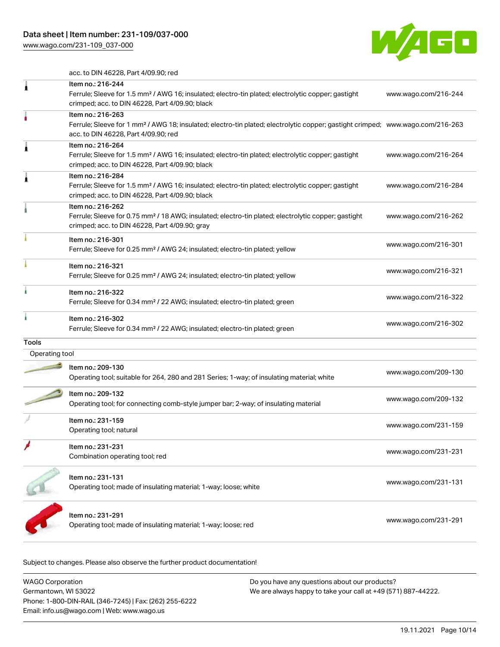[www.wago.com/231-109\\_037-000](http://www.wago.com/231-109_037-000)



acc. to DIN 46228, Part 4/09.90; red

|                | Item no.: 216-244<br>Ferrule; Sleeve for 1.5 mm <sup>2</sup> / AWG 16; insulated; electro-tin plated; electrolytic copper; gastight<br>crimped; acc. to DIN 46228, Part 4/09.90; black                  | www.wago.com/216-244 |
|----------------|---------------------------------------------------------------------------------------------------------------------------------------------------------------------------------------------------------|----------------------|
|                | Item no.: 216-263<br>Ferrule; Sleeve for 1 mm <sup>2</sup> / AWG 18; insulated; electro-tin plated; electrolytic copper; gastight crimped; www.wago.com/216-263<br>acc. to DIN 46228, Part 4/09.90; red |                      |
|                | Item no.: 216-264<br>Ferrule; Sleeve for 1.5 mm <sup>2</sup> / AWG 16; insulated; electro-tin plated; electrolytic copper; gastight<br>crimped; acc. to DIN 46228, Part 4/09.90; black                  | www.wago.com/216-264 |
|                | Item no.: 216-284<br>Ferrule; Sleeve for 1.5 mm <sup>2</sup> / AWG 16; insulated; electro-tin plated; electrolytic copper; gastight<br>crimped; acc. to DIN 46228, Part 4/09.90; black                  | www.wago.com/216-284 |
|                | Item no.: 216-262<br>Ferrule; Sleeve for 0.75 mm <sup>2</sup> / 18 AWG; insulated; electro-tin plated; electrolytic copper; gastight<br>crimped; acc. to DIN 46228, Part 4/09.90; gray                  | www.wago.com/216-262 |
|                | Item no.: 216-301<br>Ferrule; Sleeve for 0.25 mm <sup>2</sup> / AWG 24; insulated; electro-tin plated; yellow                                                                                           | www.wago.com/216-301 |
|                | Item no.: 216-321<br>Ferrule; Sleeve for 0.25 mm <sup>2</sup> / AWG 24; insulated; electro-tin plated; yellow                                                                                           | www.wago.com/216-321 |
|                | Item no.: 216-322<br>Ferrule; Sleeve for 0.34 mm <sup>2</sup> / 22 AWG; insulated; electro-tin plated; green                                                                                            | www.wago.com/216-322 |
|                | Item no.: 216-302<br>Ferrule; Sleeve for 0.34 mm <sup>2</sup> / 22 AWG; insulated; electro-tin plated; green                                                                                            | www.wago.com/216-302 |
| <b>Tools</b>   |                                                                                                                                                                                                         |                      |
| Operating tool |                                                                                                                                                                                                         |                      |
|                | Item no.: 209-130<br>Operating tool; suitable for 264, 280 and 281 Series; 1-way; of insulating material; white                                                                                         | www.wago.com/209-130 |
|                | Item no.: 209-132<br>Operating tool; for connecting comb-style jumper bar; 2-way; of insulating material                                                                                                | www.wago.com/209-132 |
|                | Item no.: 231-159<br>Operating tool; natural                                                                                                                                                            | www.wago.com/231-159 |
|                | ltem no.: 231-231<br>Combination operating tool; red                                                                                                                                                    | www.wago.com/231-231 |
|                | Item no.: 231-131<br>Operating tool; made of insulating material; 1-way; loose; white                                                                                                                   | www.wago.com/231-131 |
|                | Item no.: 231-291<br>Operating tool; made of insulating material; 1-way; loose; red                                                                                                                     | www.wago.com/231-291 |
|                |                                                                                                                                                                                                         |                      |

Subject to changes. Please also observe the further product documentation!

| WAGO Corporation                                       | Do you have any questions about our products?                 |
|--------------------------------------------------------|---------------------------------------------------------------|
| Germantown, WI 53022                                   | We are always happy to take your call at +49 (571) 887-44222. |
| Phone: 1-800-DIN-RAIL (346-7245)   Fax: (262) 255-6222 |                                                               |
| Email: info.us@wago.com   Web: www.wago.us             |                                                               |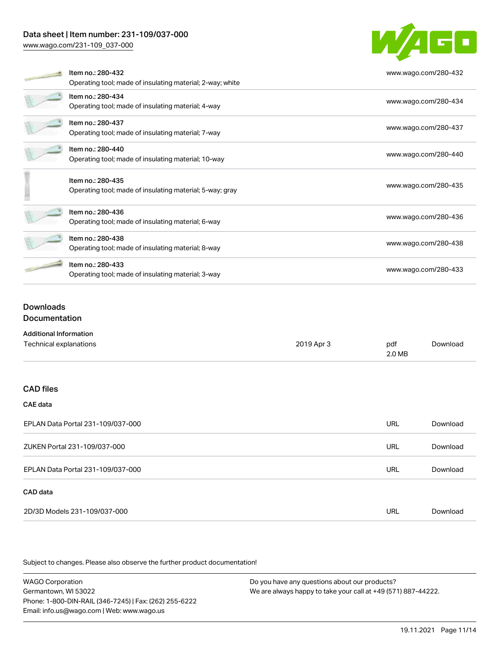# Data sheet | Item number: 231-109/037-000

[www.wago.com/231-109\\_037-000](http://www.wago.com/231-109_037-000)



|  | Item no.: 280-432                                         | www.wago.com/280-432 |  |
|--|-----------------------------------------------------------|----------------------|--|
|  | Operating tool; made of insulating material; 2-way; white |                      |  |
|  | Item no.: 280-434                                         | www.wago.com/280-434 |  |
|  | Operating tool; made of insulating material; 4-way        |                      |  |
|  | Item no.: 280-437                                         | www.wago.com/280-437 |  |
|  | Operating tool; made of insulating material; 7-way        |                      |  |
|  | Item no.: 280-440                                         | www.wago.com/280-440 |  |
|  | Operating tool; made of insulating material; 10-way       |                      |  |
|  | Item no.: 280-435                                         |                      |  |
|  | Operating tool; made of insulating material; 5-way; gray  | www.wago.com/280-435 |  |
|  |                                                           |                      |  |
|  | Item no.: 280-436                                         | www.wago.com/280-436 |  |
|  | Operating tool; made of insulating material; 6-way        |                      |  |
|  | Item no.: 280-438                                         |                      |  |
|  | Operating tool; made of insulating material; 8-way        | www.wago.com/280-438 |  |
|  | Item no.: 280-433                                         |                      |  |
|  | Operating tool; made of insulating material; 3-way        | www.wago.com/280-433 |  |

# **Downloads Documentation**

| <b>Additional Information</b> |            |        |          |
|-------------------------------|------------|--------|----------|
| Technical explanations        | 2019 Apr 3 | pdf    | Download |
|                               |            | 2.0 MB |          |

## CAD files

# CAE data

| EPLAN Data Portal 231-109/037-000 | URL | Download |
|-----------------------------------|-----|----------|
| ZUKEN Portal 231-109/037-000      | URL | Download |
| EPLAN Data Portal 231-109/037-000 | URL | Download |
| CAD data                          |     |          |
| 2D/3D Models 231-109/037-000      | URL | Download |

Subject to changes. Please also observe the further product documentation!

WAGO Corporation Germantown, WI 53022 Phone: 1-800-DIN-RAIL (346-7245) | Fax: (262) 255-6222 Email: info.us@wago.com | Web: www.wago.us Do you have any questions about our products? We are always happy to take your call at +49 (571) 887-44222.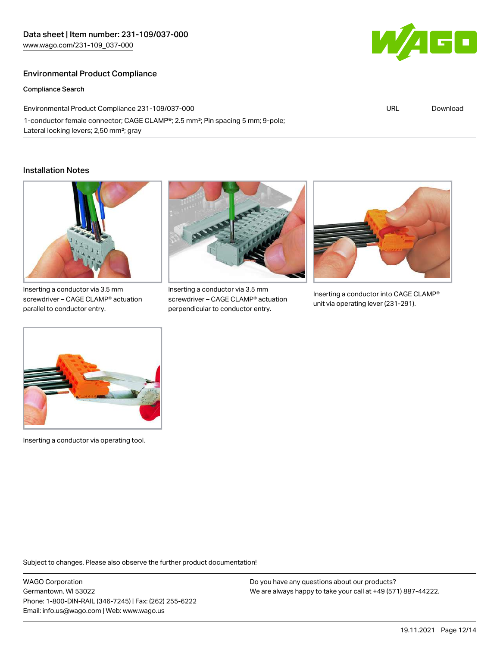# Environmental Product Compliance

Compliance Search

Environmental Product Compliance 231-109/037-000 1-conductor female connector; CAGE CLAMP®; 2.5 mm²; Pin spacing 5 mm; 9-pole; Lateral locking levers; 2,50 mm²; gray

#### Installation Notes



Inserting a conductor via 3.5 mm screwdriver – CAGE CLAMP® actuation parallel to conductor entry.



Inserting a conductor via 3.5 mm screwdriver – CAGE CLAMP® actuation perpendicular to conductor entry.



Inserting a conductor into CAGE CLAMP® unit via operating lever (231-291).



Inserting a conductor via operating tool.

Subject to changes. Please also observe the further product documentation!

WAGO Corporation Germantown, WI 53022 Phone: 1-800-DIN-RAIL (346-7245) | Fax: (262) 255-6222 Email: info.us@wago.com | Web: www.wago.us

Do you have any questions about our products? We are always happy to take your call at +49 (571) 887-44222.



URL [Download](https://www.wago.com/global/d/ComplianceLinkMediaContainer_231-109_037-000)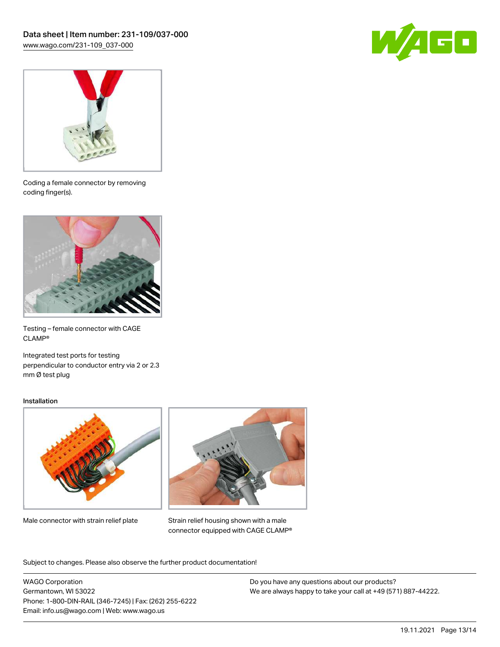



Coding a female connector by removing coding finger(s).



Testing – female connector with CAGE CLAMP®

Integrated test ports for testing perpendicular to conductor entry via 2 or 2.3 mm Ø test plug

#### Installation



Male connector with strain relief plate



Strain relief housing shown with a male connector equipped with CAGE CLAMP®

Subject to changes. Please also observe the further product documentation!

WAGO Corporation Germantown, WI 53022 Phone: 1-800-DIN-RAIL (346-7245) | Fax: (262) 255-6222 Email: info.us@wago.com | Web: www.wago.us